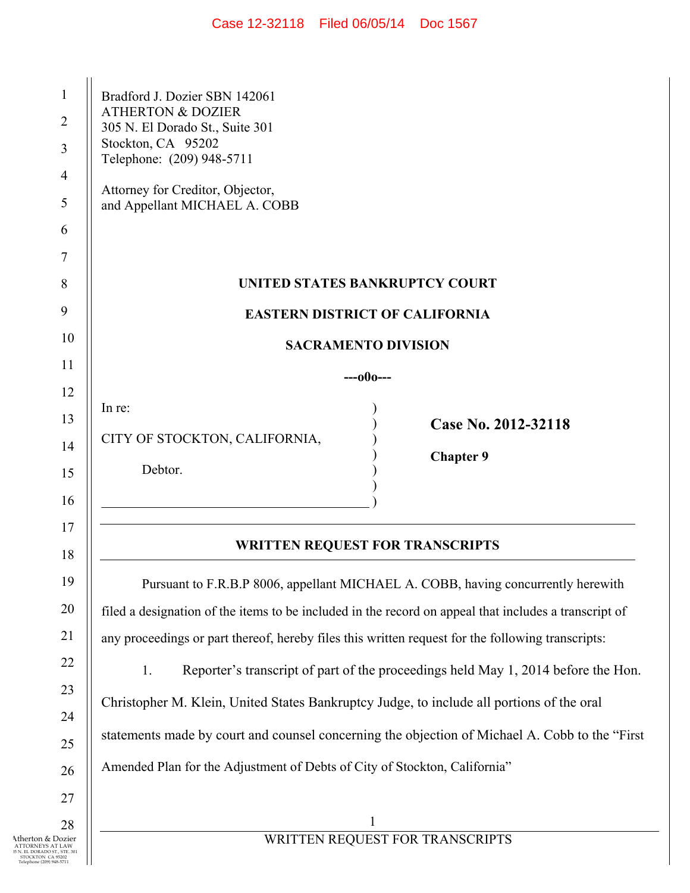| Case 12-32118 | Filed 06/05/14 | Doc 1567 |
|---------------|----------------|----------|
|---------------|----------------|----------|

| 1  | Bradford J. Dozier SBN 142061                                                                         |  |
|----|-------------------------------------------------------------------------------------------------------|--|
| 2  | <b>ATHERTON &amp; DOZIER</b><br>305 N. El Dorado St., Suite 301                                       |  |
| 3  | Stockton, CA 95202<br>Telephone: (209) 948-5711                                                       |  |
| 4  |                                                                                                       |  |
| 5  | Attorney for Creditor, Objector,<br>and Appellant MICHAEL A. COBB                                     |  |
| 6  |                                                                                                       |  |
| 7  |                                                                                                       |  |
| 8  | UNITED STATES BANKRUPTCY COURT                                                                        |  |
| 9  | <b>EASTERN DISTRICT OF CALIFORNIA</b>                                                                 |  |
| 10 | <b>SACRAMENTO DIVISION</b>                                                                            |  |
| 11 | ---000---                                                                                             |  |
| 12 | In re:                                                                                                |  |
| 13 | Case No. 2012-32118                                                                                   |  |
| 14 | CITY OF STOCKTON, CALIFORNIA,<br><b>Chapter 9</b>                                                     |  |
| 15 | Debtor.                                                                                               |  |
| 16 |                                                                                                       |  |
| 17 |                                                                                                       |  |
| 18 | <b>WRITTEN REQUEST FOR TRANSCRIPTS</b>                                                                |  |
| 19 | Pursuant to F.R.B.P 8006, appellant MICHAEL A. COBB, having concurrently herewith                     |  |
| 20 | filed a designation of the items to be included in the record on appeal that includes a transcript of |  |
| 21 | any proceedings or part thereof, hereby files this written request for the following transcripts:     |  |
| 22 | Reporter's transcript of part of the proceedings held May 1, 2014 before the Hon.<br>1.               |  |
| 23 | Christopher M. Klein, United States Bankruptcy Judge, to include all portions of the oral             |  |
| 24 | statements made by court and counsel concerning the objection of Michael A. Cobb to the "First        |  |
| 25 |                                                                                                       |  |
| 26 | Amended Plan for the Adjustment of Debts of City of Stockton, California"                             |  |
| 27 |                                                                                                       |  |
| 28 | $\mathbf{1}$                                                                                          |  |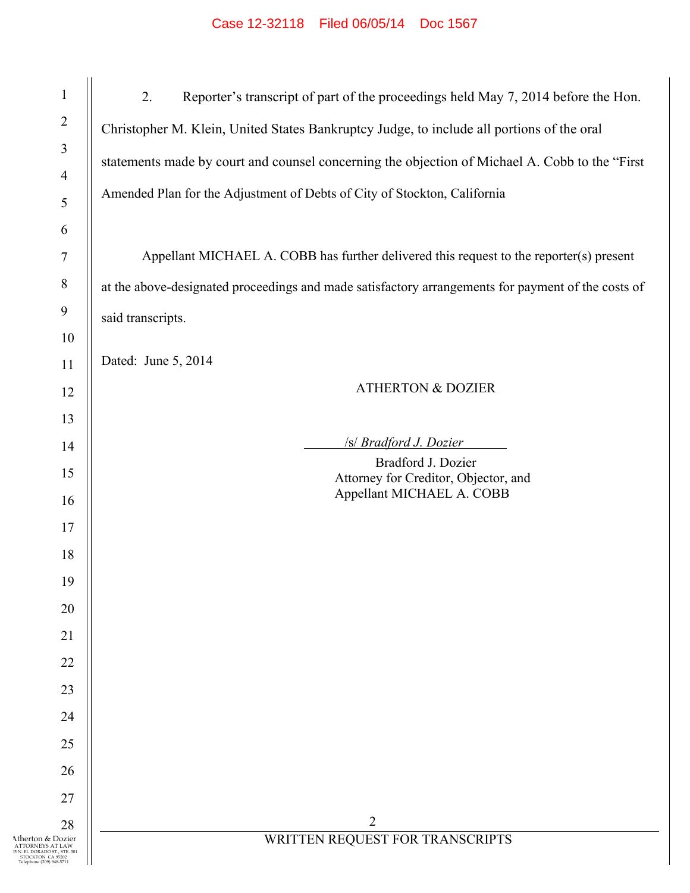| $\mathbf{1}$                                                                                                            | 2.                                                                                                 |
|-------------------------------------------------------------------------------------------------------------------------|----------------------------------------------------------------------------------------------------|
| $\overline{2}$                                                                                                          | Reporter's transcript of part of the proceedings held May 7, 2014 before the Hon.                  |
| $\mathfrak{Z}$                                                                                                          | Christopher M. Klein, United States Bankruptcy Judge, to include all portions of the oral          |
|                                                                                                                         | statements made by court and counsel concerning the objection of Michael A. Cobb to the "First     |
| $\overline{4}$                                                                                                          | Amended Plan for the Adjustment of Debts of City of Stockton, California                           |
| $\sqrt{5}$                                                                                                              |                                                                                                    |
| 6                                                                                                                       |                                                                                                    |
| $\boldsymbol{7}$                                                                                                        | Appellant MICHAEL A. COBB has further delivered this request to the reporter(s) present            |
| $\,8\,$                                                                                                                 | at the above-designated proceedings and made satisfactory arrangements for payment of the costs of |
| 9                                                                                                                       | said transcripts.                                                                                  |
| 10                                                                                                                      |                                                                                                    |
| 11                                                                                                                      | Dated: June 5, 2014                                                                                |
| 12                                                                                                                      | <b>ATHERTON &amp; DOZIER</b>                                                                       |
| 13                                                                                                                      |                                                                                                    |
| 14                                                                                                                      | <b>/s/ Bradford J. Dozier</b><br>Bradford J. Dozier                                                |
| 15                                                                                                                      | Attorney for Creditor, Objector, and                                                               |
| 16                                                                                                                      | Appellant MICHAEL A. COBB                                                                          |
| 17                                                                                                                      |                                                                                                    |
| 18                                                                                                                      |                                                                                                    |
| 19                                                                                                                      |                                                                                                    |
| 20                                                                                                                      |                                                                                                    |
| 21                                                                                                                      |                                                                                                    |
| 22                                                                                                                      |                                                                                                    |
| 23                                                                                                                      |                                                                                                    |
| 24                                                                                                                      |                                                                                                    |
| 25                                                                                                                      |                                                                                                    |
| 26                                                                                                                      |                                                                                                    |
| 27                                                                                                                      |                                                                                                    |
| 28                                                                                                                      | 2                                                                                                  |
| Atherton & Dozier<br>ATTORNEYS AT LAW<br>15 N. EL DORADO ST., STE. 301<br>STOCKTON CA 95202<br>Telephone (209) 948-5711 | WRITTEN REQUEST FOR TRANSCRIPTS                                                                    |